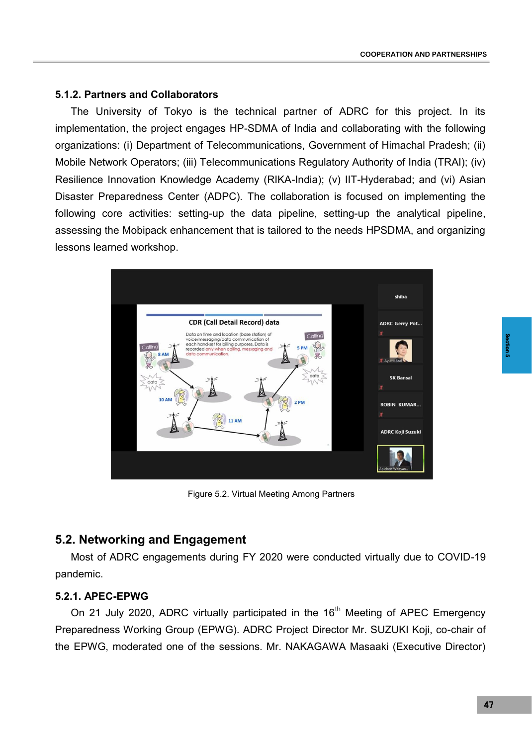## **5.1.2. Partners and Collaborators**

The University of Tokyo is the technical partner of ADRC for this project. In its implementation, the project engages HP-SDMA of India and collaborating with the following organizations: (i) Department of Telecommunications, Government of Himachal Pradesh; (ii) Mobile Network Operators; (iii) Telecommunications Regulatory Authority of India (TRAI); (iv) Resilience Innovation Knowledge Academy (RIKA-India); (v) IIT-Hyderabad; and (vi) Asian Disaster Preparedness Center (ADPC). The collaboration is focused on implementing the following core activities: setting-up the data pipeline, setting-up the analytical pipeline, assessing the Mobipack enhancement that is tailored to the needs HPSDMA, and organizing lessons learned workshop.



Figure 5.2. Virtual Meeting Among Partners

# **5.2. Networking and Engagement**

Most of ADRC engagements during FY 2020 were conducted virtually due to COVID-19 pandemic.

### **5.2.1. APEC-EPWG**

On 21 July 2020, ADRC virtually participated in the  $16<sup>th</sup>$  Meeting of APEC Emergency Preparedness Working Group (EPWG). ADRC Project Director Mr. SUZUKI Koji, co-chair of the EPWG, moderated one of the sessions. Mr. NAKAGAWA Masaaki (Executive Director)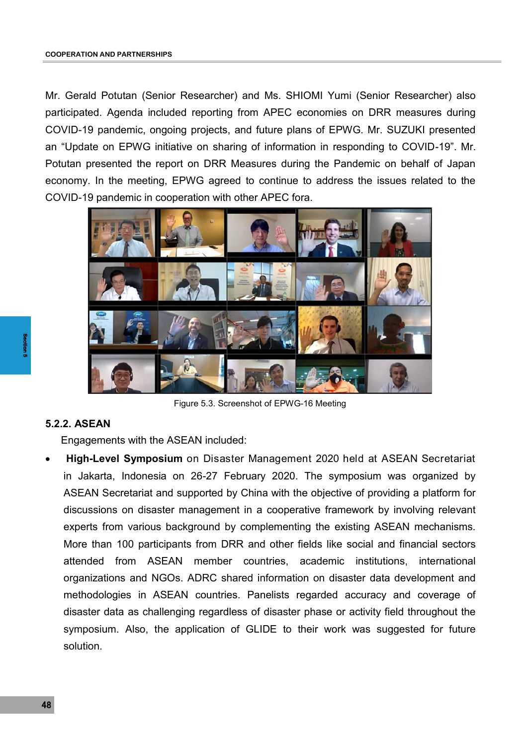Mr. Gerald Potutan (Senior Researcher) and Ms. SHIOMI Yumi (Senior Researcher) also participated. Agenda included reporting from APEC economies on DRR measures during COVID-19 pandemic, ongoing projects, and future plans of EPWG. Mr. SUZUKI presented an "Update on EPWG initiative on sharing of information in responding to COVID-19". Mr. Potutan presented the report on DRR Measures during the Pandemic on behalf of Japan economy. In the meeting, EPWG agreed to continue to address the issues related to the COVID-19 pandemic in cooperation with other APEC fora.



Figure 5.3. Screenshot of EPWG-16 Meeting

## **5.2.2. ASEAN**

Engagements with the ASEAN included:

 48 **Section 5 High-Level Symposium** on Disaster Management 2020 held at ASEAN Secretariat in Jakarta, Indonesia on 26-27 February 2020. The symposium was organized by ASEAN Secretariat and supported by China with the objective of providing a platform for discussions on disaster management in a cooperative framework by involving relevant experts from various background by complementing the existing ASEAN mechanisms. More than 100 participants from DRR and other fields like social and financial sectors attended from ASEAN member countries, academic institutions, international organizations and NGOs. ADRC shared information on disaster data development and methodologies in ASEAN countries. Panelists regarded accuracy and coverage of disaster data as challenging regardless of disaster phase or activity field throughout the symposium. Also, the application of GLIDE to their work was suggested for future solution.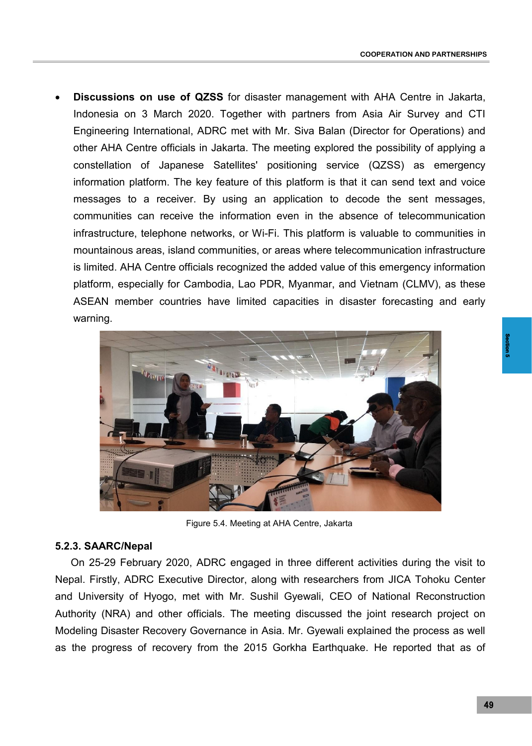**Discussions on use of QZSS** for disaster management with AHA Centre in Jakarta, Indonesia on 3 March 2020. Together with partners from Asia Air Survey and CTI Engineering International, ADRC met with Mr. Siva Balan (Director for Operations) and other AHA Centre officials in Jakarta. The meeting explored the possibility of applying a constellation of Japanese Satellites' positioning service (QZSS) as emergency information platform. The key feature of this platform is that it can send text and voice messages to a receiver. By using an application to decode the sent messages, communities can receive the information even in the absence of telecommunication infrastructure, telephone networks, or Wi-Fi. This platform is valuable to communities in mountainous areas, island communities, or areas where telecommunication infrastructure is limited. AHA Centre officials recognized the added value of this emergency information platform, especially for Cambodia, Lao PDR, Myanmar, and Vietnam (CLMV), as these ASEAN member countries have limited capacities in disaster forecasting and early warning.



Figure 5.4. Meeting at AHA Centre, Jakarta

#### **5.2.3. SAARC/Nepal**

On 25-29 February 2020, ADRC engaged in three different activities during the visit to Nepal. Firstly, ADRC Executive Director, along with researchers from JICA Tohoku Center and University of Hyogo, met with Mr. Sushil Gyewali, CEO of National Reconstruction Authority (NRA) and other officials. The meeting discussed the joint research project on Modeling Disaster Recovery Governance in Asia. Mr. Gyewali explained the process as well as the progress of recovery from the 2015 Gorkha Earthquake. He reported that as of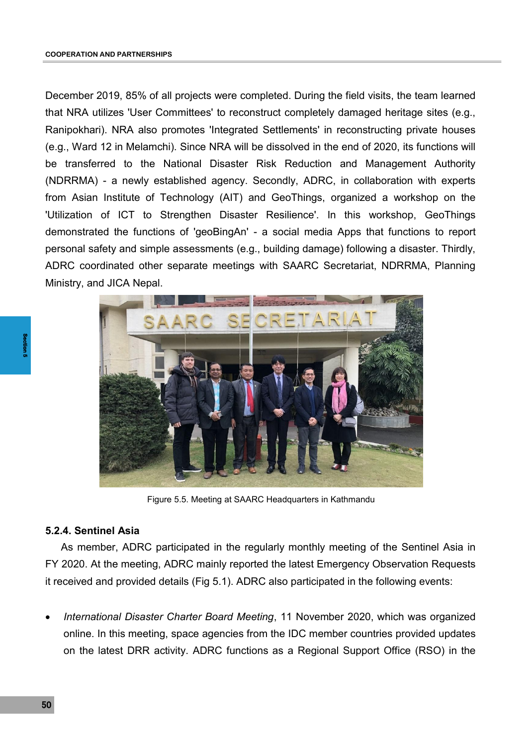December 2019, 85% of all projects were completed. During the field visits, the team learned that NRA utilizes 'User Committees' to reconstruct completely damaged heritage sites (e.g., Ranipokhari). NRA also promotes 'Integrated Settlements' in reconstructing private houses (e.g., Ward 12 in Melamchi). Since NRA will be dissolved in the end of 2020, its functions will be transferred to the National Disaster Risk Reduction and Management Authority (NDRRMA) - a newly established agency. Secondly, ADRC, in collaboration with experts from Asian Institute of Technology (AIT) and GeoThings, organized a workshop on the 'Utilization of ICT to Strengthen Disaster Resilience'. In this workshop, GeoThings demonstrated the functions of 'geoBingAn' - a social media Apps that functions to report personal safety and simple assessments (e.g., building damage) following a disaster. Thirdly, ADRC coordinated other separate meetings with SAARC Secretariat, NDRRMA, Planning Ministry, and JICA Nepal.



Figure 5.5. Meeting at SAARC Headquarters in Kathmandu

#### **5.2.4. Sentinel Asia**

As member, ADRC participated in the regularly monthly meeting of the Sentinel Asia in FY 2020. At the meeting, ADRC mainly reported the latest Emergency Observation Requests it received and provided details (Fig 5.1). ADRC also participated in the following events:

**5...**<br>
F<br>
it r<br> **6**<br>
50 *International Disaster Charter Board Meeting*, 11 November 2020, which was organized online. In this meeting, space agencies from the IDC member countries provided updates on the latest DRR activity. ADRC functions as a Regional Support Office (RSO) in the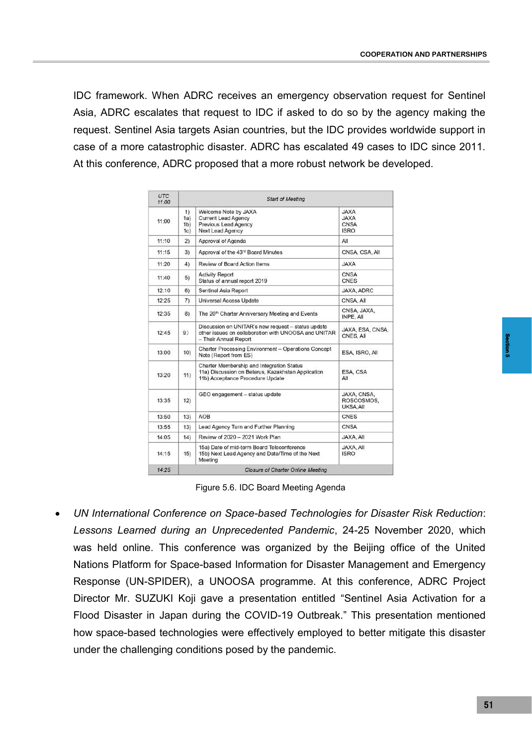IDC framework. When ADRC receives an emergency observation request for Sentinel Asia, ADRC escalates that request to IDC if asked to do so by the agency making the request. Sentinel Asia targets Asian countries, but the IDC provides worldwide support in case of a more catastrophic disaster. ADRC has escalated 49 cases to IDC since 2011. At this conference, ADRC proposed that a more robust network be developed.

| <b>UTC</b><br>11:00 | <b>Start of Meeting</b>                  |                                                                                                                                     |                                                          |
|---------------------|------------------------------------------|-------------------------------------------------------------------------------------------------------------------------------------|----------------------------------------------------------|
| 11:00               | 1)<br>(a)<br>1 <sub>b</sub><br>1c)       | Welcome Note by JAXA<br><b>Current Lead Agency</b><br>Previous Lead Agency<br><b>Next Lead Agency</b>                               | <b>JAXA</b><br><b>JAXA</b><br><b>CNSA</b><br><b>ISRO</b> |
| 11:10               | 2)                                       | Approval of Agenda                                                                                                                  | All                                                      |
| 11:15               | 3)                                       | Approval of the 43rd Board Minutes                                                                                                  | CNSA, CSA, All                                           |
| 11:20               | 4)                                       | Review of Board Action Items                                                                                                        | <b>JAXA</b>                                              |
| 11:40               | 5)                                       | <b>Activity Report</b><br>Status of annual report 2019                                                                              | <b>CNSA</b><br><b>CNES</b>                               |
| 12:10               | 6)                                       | Sentinel Asia Report                                                                                                                | <b>JAXA, ADRC</b>                                        |
| 12:25               | 7)                                       | <b>Universal Access Update</b>                                                                                                      | CNSA, All                                                |
| 12:35               | 8)                                       | The 20 <sup>th</sup> Charter Anniversary Meeting and Events                                                                         | CNSA, JAXA,<br>INPE, AII                                 |
| 12:45               | 9)                                       | Discussion on UNITAR's new request - status update<br>other issues on collaboration with UNOOSA and UNITAR<br>- Their Annual Report | JAXA, ESA, CNSA,<br>CNES, All                            |
| 13:00               | 10)                                      | Charter Processing Environment - Operations Concept<br>Note (Report from ES)                                                        | ESA, ISRO, All                                           |
| 13:20               | 11)                                      | Charter Membership and Integration Status<br>11a) Discussion on Belarus, Kazakhstan Application<br>11b) Acceptance Procedure Update | ESA, CSA<br>All                                          |
| 13:35               | 12)                                      | GEO engagement - status update                                                                                                      | JAXA, CNSA,<br>ROSCOSMOS.<br>UKSA, All                   |
| 13:50               | 13)                                      | AOB                                                                                                                                 | <b>CNES</b>                                              |
| 13:55               | 13)                                      | Lead Agency Turn and Further Planning                                                                                               | <b>CNSA</b>                                              |
| 14:05               | 14)                                      | Review of 2020 - 2021 Work Plan                                                                                                     | JAXA, All                                                |
| 14:15               | 15)                                      | 15a) Date of mid-term Board Teleconference<br>15b) Next Lead Agency and Date/Time of the Next<br>Meeting                            | JAXA, All<br><b>ISRO</b>                                 |
| 14:25               | <b>Closure of Charter Online Meeting</b> |                                                                                                                                     |                                                          |

Figure 5.6. IDC Board Meeting Agenda

 *UN International Conference on Space-based Technologies for Disaster Risk Reduction*: *Lessons Learned during an Unprecedented Pandemic*, 24-25 November 2020, which was held online. This conference was organized by the Beijing office of the United Nations Platform for Space-based Information for Disaster Management and Emergency Response (UN-SPIDER), a UNOOSA programme. At this conference, ADRC Project Director Mr. SUZUKI Koji gave a presentation entitled "Sentinel Asia Activation for a Flood Disaster in Japan during the COVID-19 Outbreak." This presentation mentioned how space-based technologies were effectively employed to better mitigate this disaster under the challenging conditions posed by the pandemic.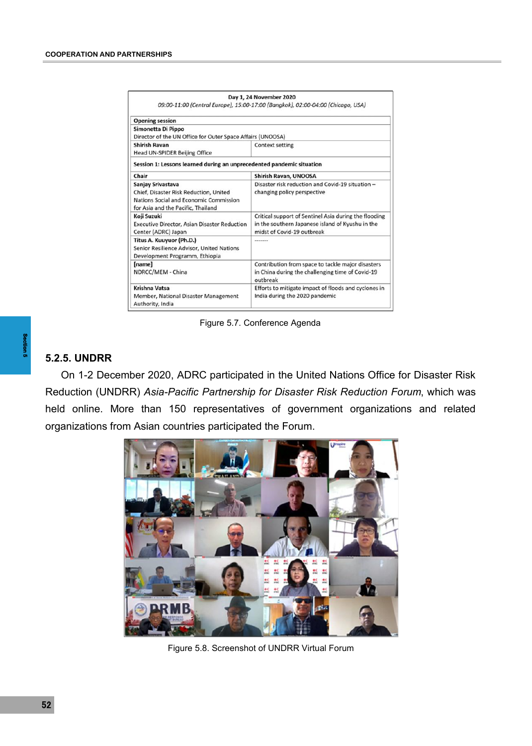|                                                                                                                                             | Day 1, 24 November 2020<br>09:00-11:00 (Central Europe), 15:00-17:00 (Bangkok), 02:00-04:00 (Chicago, USA)                              |  |
|---------------------------------------------------------------------------------------------------------------------------------------------|-----------------------------------------------------------------------------------------------------------------------------------------|--|
| <b>Opening session</b>                                                                                                                      |                                                                                                                                         |  |
| Simonetta Di Pippo<br>Director of the UN Office for Outer Space Affairs (UNOOSA)                                                            |                                                                                                                                         |  |
| <b>Shirish Ravan</b><br>Head UN-SPIDER Beijing Office                                                                                       | <b>Context setting</b>                                                                                                                  |  |
| Session 1: Lessons learned during an unprecedented pandemic situation                                                                       |                                                                                                                                         |  |
| Chair                                                                                                                                       | <b>Shirish Ravan, UNOOSA</b>                                                                                                            |  |
| Sanjay Srivastava<br>Chief, Disaster Risk Reduction, United<br>Nations Social and Economic Commission<br>for Asia and the Pacific, Thailand | Disaster risk reduction and Covid-19 situation -<br>changing policy perspective                                                         |  |
| Koji Suzuki<br><b>Executive Director, Asian Disaster Reduction</b><br>Center (ADRC) Japan                                                   | Critical support of Sentinel Asia during the flooding<br>in the southern Japanese island of Kyushu in the<br>midst of Covid-19 outbreak |  |
| Titus A. Kuuyuor (Ph.D.)<br>Senior Resilience Advisor, United Nations<br>Development Programm, Ethiopia                                     | *******                                                                                                                                 |  |
| [name]<br>NDRCC/MEM - China                                                                                                                 | Contribution from space to tackle major disasters<br>in China during the challenging time of Covid-19<br>outbreak                       |  |
| <b>Krishna Vatsa</b><br>Member, National Disaster Management<br>Authority, India                                                            | Efforts to mitigate impact of floods and cyclones in<br>India during the 2020 pandemic                                                  |  |

Figure 5.7. Conference Agenda

## **5.2.5. UNDRR**

**5**.<br> **5**.<br>
Re he or On 1-2 December 2020, ADRC participated in the United Nations Office for Disaster Risk Reduction (UNDRR) *Asia-Pacific Partnership for Disaster Risk Reduction Forum*, which was held online. More than 150 representatives of government organizations and related organizations from Asian countries participated the Forum.



Figure 5.8. Screenshot of UNDRR Virtual Forum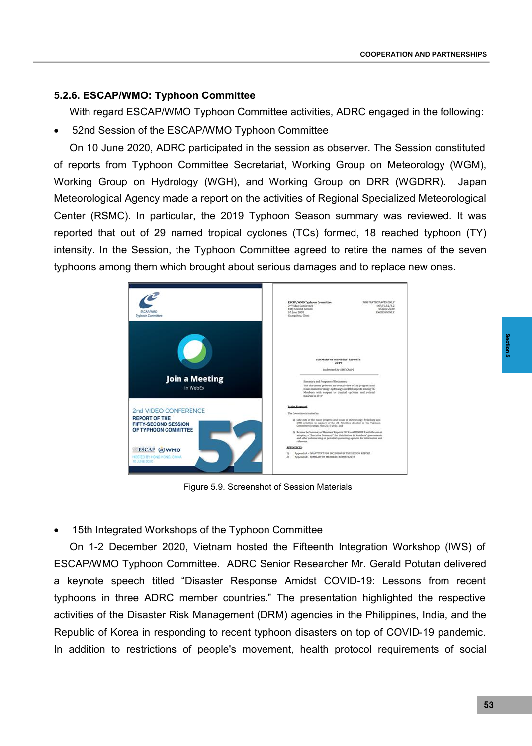## **5.2.6. ESCAP/WMO: Typhoon Committee**

With regard ESCAP/WMO Typhoon Committee activities, ADRC engaged in the following:

52nd Session of the ESCAP/WMO Typhoon Committee

On 10 June 2020, ADRC participated in the session as observer. The Session constituted of reports from Typhoon Committee Secretariat, Working Group on Meteorology (WGM), Working Group on Hydrology (WGH), and Working Group on DRR (WGDRR). Japan Meteorological Agency made a report on the activities of Regional Specialized Meteorological Center (RSMC). In particular, the 2019 Typhoon Season summary was reviewed. It was reported that out of 29 named tropical cyclones (TCs) formed, 18 reached typhoon (TY) intensity. In the Session, the Typhoon Committee agreed to retire the names of the seven typhoons among them which brought about serious damages and to replace new ones.



Figure 5.9. Screenshot of Session Materials

15th Integrated Workshops of the Typhoon Committee

On 1-2 December 2020, Vietnam hosted the Fifteenth Integration Workshop (IWS) of ESCAP/WMO Typhoon Committee. ADRC Senior Researcher Mr. Gerald Potutan delivered a keynote speech titled "Disaster Response Amidst COVID-19: Lessons from recent typhoons in three ADRC member countries." The presentation highlighted the respective activities of the Disaster Risk Management (DRM) agencies in the Philippines, India, and the Republic of Korea in responding to recent typhoon disasters on top of COVID-19 pandemic. In addition to restrictions of people's movement, health protocol requirements of social